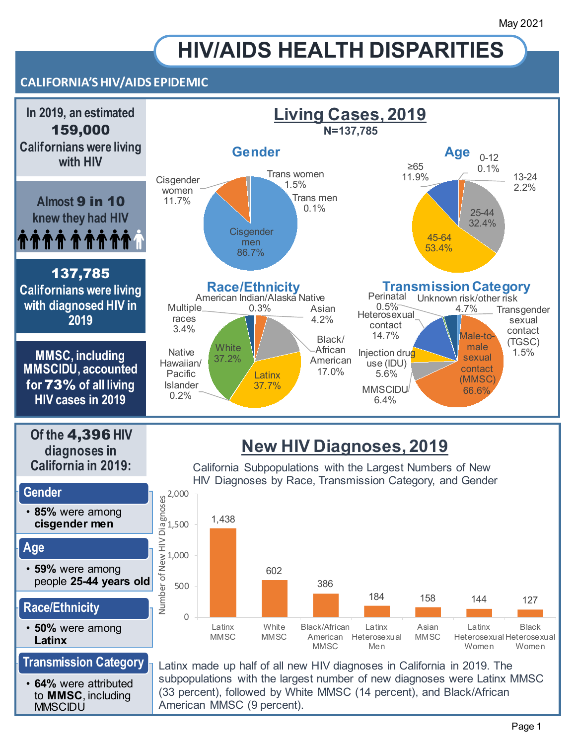# **HIV/AIDS HEALTH DISPARITIES**

## **CALIFORNIA'S HIV/AIDS EPIDEMIC**



Page 1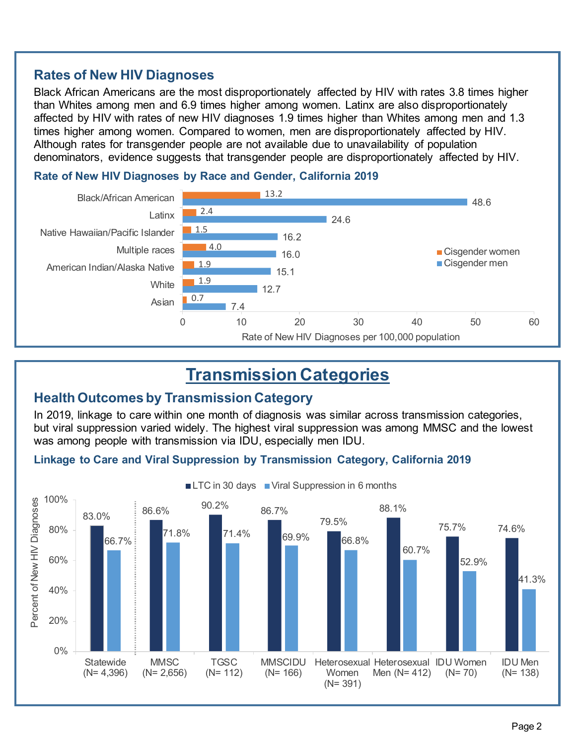## **Rates of New HIV Diagnoses**

Black African Americans are the most disproportionately affected by HIV with rates 3.8 times higher than Whites among men and 6.9 times higher among women. Latinx are also disproportionately affected by HIV with rates of new HIV diagnoses 1.9 times higher than Whites among men and 1.3 times higher among women. Compared to women, men are disproportionately affected by HIV. Although rates for transgender people are not available due to unavailability of population denominators, evidence suggests that transgender people are disproportionately affected by HIV.



#### **Rate of New HIV Diagnoses by Race and Gender, California 2019**

# **Transmission Categories**

### **Health Outcomes by Transmission Category**

In 2019, linkage to care within one month of diagnosis was similar across transmission categories, but viral suppression varied widely. The highest viral suppression was among MMSC and the lowest was among people with transmission via IDU, especially men IDU.

### **Linkage to Care and Viral Suppression by Transmission Category, California 2019**



LTC in 30 days Viral Suppression in 6 months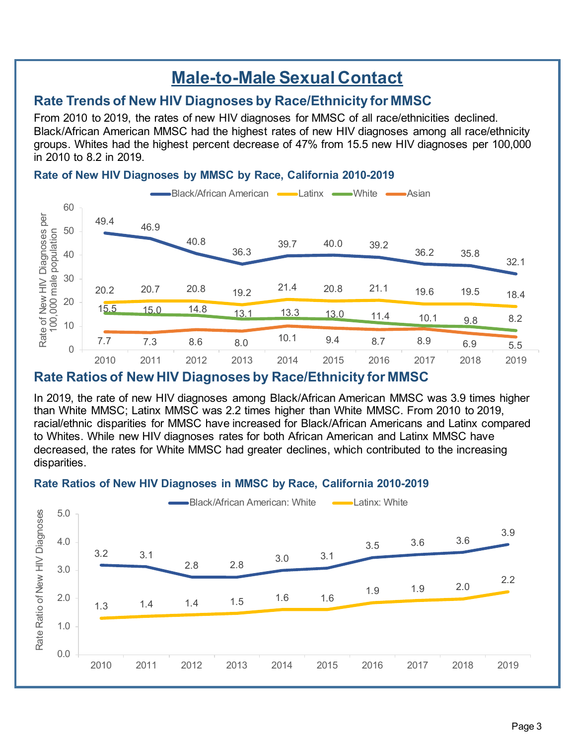# **Male-to-Male Sexual Contact**

# **Rate Trends of New HIV Diagnoses by Race/Ethnicity for MMSC**

From 2010 to 2019, the rates of new HIV diagnoses for MMSC of all race/ethnicities declined. Black/African American MMSC had the highest rates of new HIV diagnoses among all race/ethnicity groups. Whites had the highest percent decrease of 47% from 15.5 new HIV diagnoses per 100,000 in 2010 to 8.2 in 2019.

#### **Rate of New HIV Diagnoses by MMSC by Race, California 2010-2019**



# **Rate Ratios of New HIV Diagnoses by Race/Ethnicity for MMSC**

In 2019, the rate of new HIV diagnoses among Black/African American MMSC was 3.9 times higher than White MMSC; Latinx MMSC was 2.2 times higher than White MMSC. From 2010 to 2019, racial/ethnic disparities for MMSC have increased for Black/African Americans and Latinx compared to Whites. While new HIV diagnoses rates for both African American and Latinx MMSC have decreased, the rates for White MMSC had greater declines, which contributed to the increasing disparities.



#### **Rate Ratios of New HIV Diagnoses in MMSC by Race, California 2010-2019**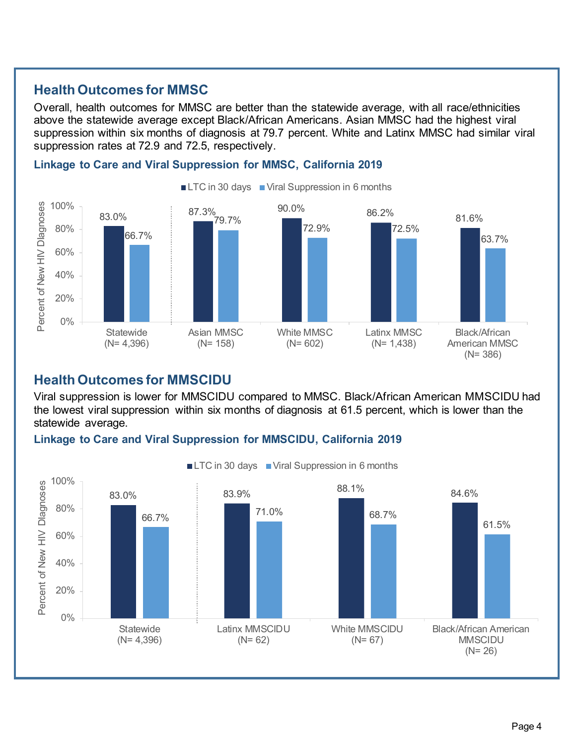# **Health Outcomes for MMSC**

Overall, health outcomes for MMSC are better than the statewide average, with all race/ethnicities above the statewide average except Black/African Americans. Asian MMSC had the highest viral suppression within six months of diagnosis at 79.7 percent. White and Latinx MMSC had similar viral suppression rates at 72.9 and 72.5, respectively.



#### **Linkage to Care and Viral Suppression for MMSC, California 2019**

## **Health Outcomes for MMSCIDU**

Viral suppression is lower for MMSCIDU compared to MMSC. Black/African American MMSCIDU had the lowest viral suppression within six months of diagnosis at 61.5 percent, which is lower than the statewide average.

#### **Linkage to Care and Viral Suppression for MMSCIDU, California 2019**

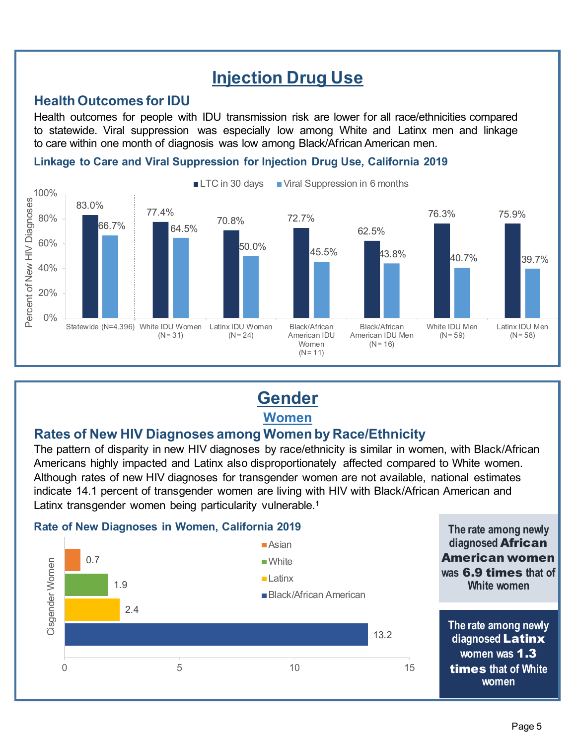# **Injection Drug Use**

## **Health Outcomes for IDU**

Health outcomes for people with IDU transmission risk are lower for all race/ethnicities compared to statewide. Viral suppression was especially low among White and Latinx men and linkage to care within one month of diagnosis was low among Black/African American men.

#### **Linkage to Care and Viral Suppression for Injection Drug Use, California 2019**



# **Gender**

**Women** 

# **Rates of New HIV Diagnoses among Women by Race/Ethnicity**

The pattern of disparity in new HIV diagnoses by race/ethnicity is similar in women, with Black/African Americans highly impacted and Latinx also disproportionately affected compared to White women. Although rates of new HIV diagnoses for transgender women are not available, national estimates indicate 14.1 percent of transgender women are living with HIV with Black/African American and Latinx transgender women being particularity vulnerable.<sup>1</sup>

#### **Rate of New Diagnoses in Women, California 2019 The rate among newly**

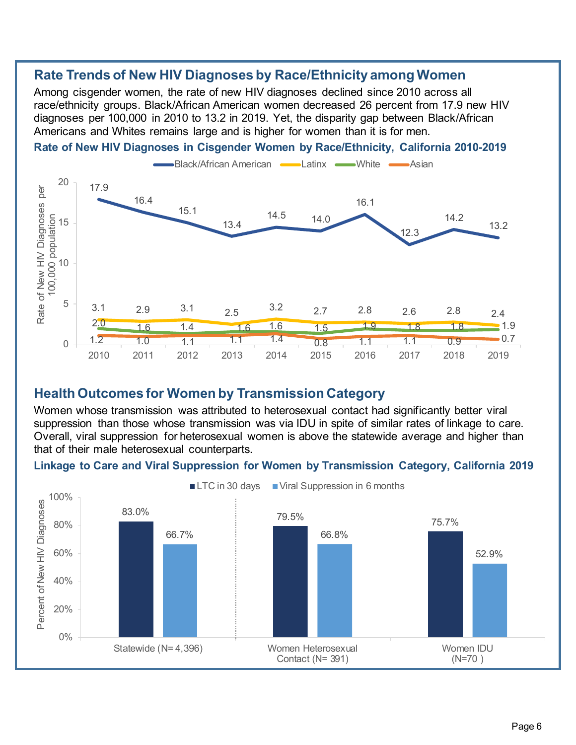## **Rate Trends of New HIV Diagnoses by Race/Ethnicity among Women**

Among cisgender women, the rate of new HIV diagnoses declined since 2010 across all race/ethnicity groups. Black/African American women decreased 26 percent from 17.9 new HIV diagnoses per 100,000 in 2010 to 13.2 in 2019. Yet, the disparity gap between Black/African Americans and Whites remains large and is higher for women than it is for men.





### **Health Outcomes for Women by Transmission Category**

Women whose transmission was attributed to heterosexual contact had significantly better viral suppression than those whose transmission was via IDU in spite of similar rates of linkage to care. Overall, viral suppression for heterosexual women is above the statewide average and higher than that of their male heterosexual counterparts.

#### **Linkage to Care and Viral Suppression for Women by Transmission Category, California 2019**

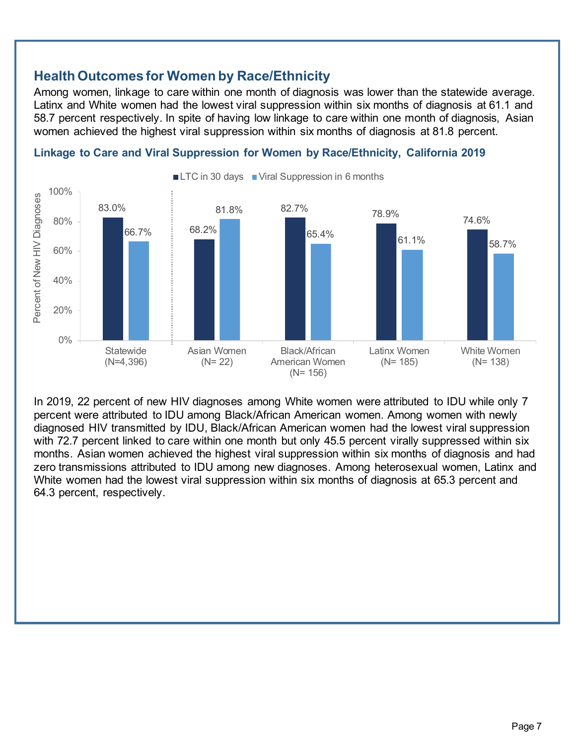## **Health Outcomes for Women by Race/Ethnicity**

Among women, linkage to care within one month of diagnosis was lower than the statewide average. Latinx and White women had the lowest viral suppression within six months of diagnosis at 61.1 and 58.7 percent respectively. In spite of having low linkage to care within one month of diagnosis, Asian women achieved the highest viral suppression within six months of diagnosis at 81.8 percent.



#### **Linkage to Care and Viral Suppression for Women by Race/Ethnicity, California 2019**

In 2019, 22 percent of new HIV diagnoses among White women were attributed to IDU while only 7 percent were attributed to IDU among Black/African American women. Among women with newly diagnosed HIV transmitted by IDU, Black/African American women had the lowest viral suppression with 72.7 percent linked to care within one month but only 45.5 percent virally suppressed within six months. Asian women achieved the highest viral suppression within six months of diagnosis and had zero transmissions attributed to IDU among new diagnoses. Among heterosexual women, Latinx and White women had the lowest viral suppression within six months of diagnosis at 65.3 percent and 64.3 percent, respectively.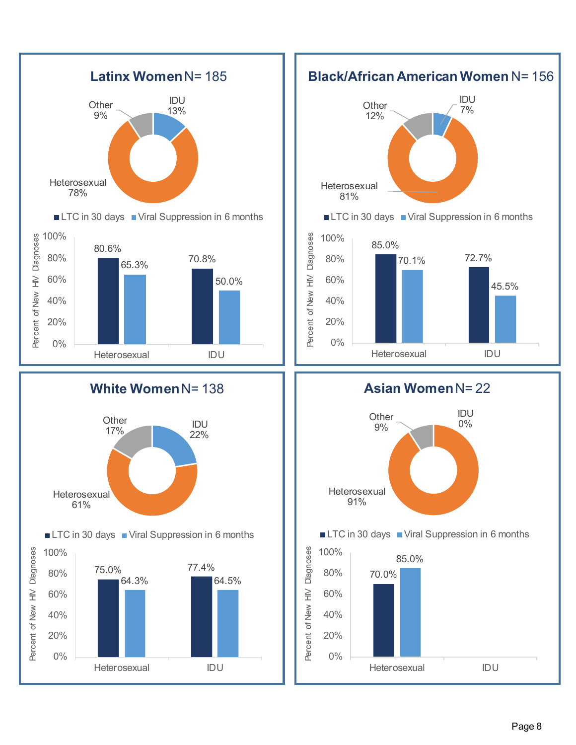



**Asian Women** N= 22

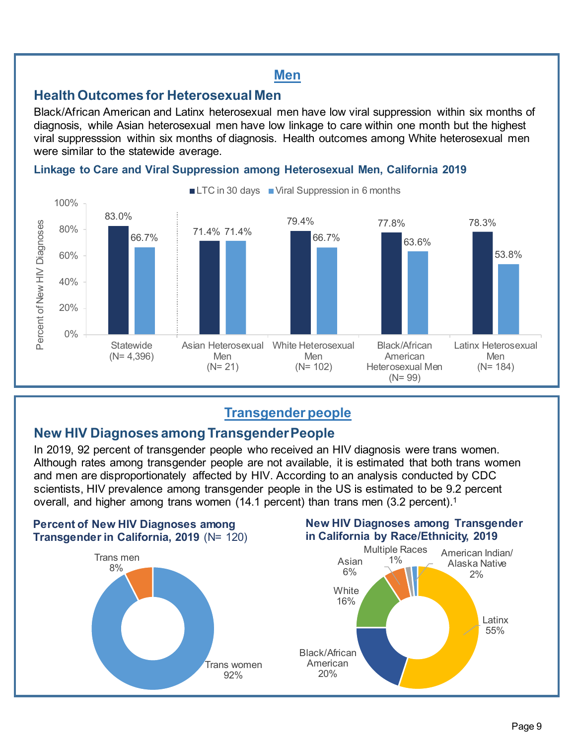## **Men**

## **Health Outcomes for Heterosexual Men**

Black/African American and Latinx heterosexual men have low viral suppression within six months of diagnosis, while Asian heterosexual men have low linkage to care within one month but the highest viral suppresssion within six months of diagnosis. Health outcomes among White heterosexual men were similar to the statewide average.

#### **Linkage to Care and Viral Suppression among Heterosexual Men, California 2019**



# **Transgender people**

# **New HIV Diagnoses among Transgender People**

In 2019, 92 percent of transgender people who received an HIV diagnosis were trans women. Although rates among transgender people are not available, it is estimated that both trans women and men are disproportionately affected by HIV. According to an analysis conducted by CDC scientists, HIV prevalence among transgender people in the US is estimated to be 9.2 percent overall, and higher among trans women (14[.1](#page-13-0) percent) than trans men (3.2 percent).<sup>1</sup>



### **New HIV Diagnoses among Transgender in California by Race/Ethnicity, 2019**

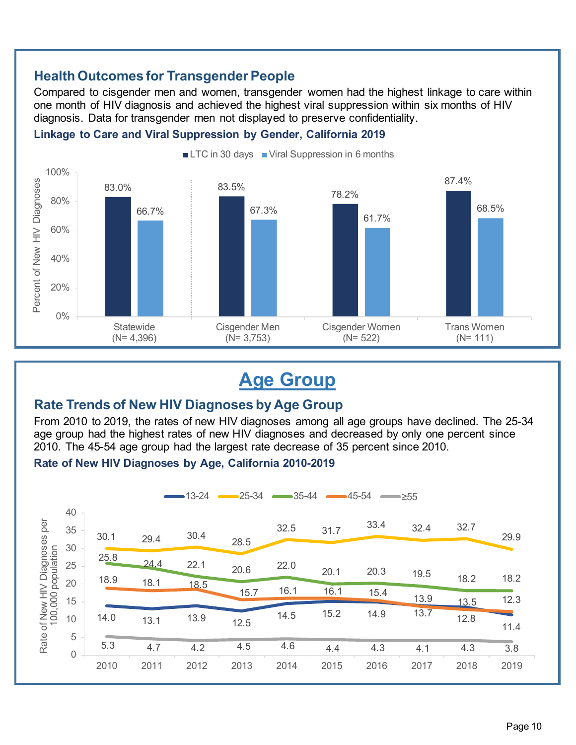# **Health Outcomes for Transgender People**

Compared to cisgender men and women, transgender women had the highest linkage to care within one month of HIV diagnosis and achieved the highest viral suppression within six months of HIV diagnosis. Data for transgender men not displayed to preserve confidentiality.

#### **Linkage to Care and Viral Suppression by Gender, California 2019**



# **Age Group**

## **Rate Trends of New HIV Diagnoses by Age Group**

From 2010 to 2019, the rates of new HIV diagnoses among all age groups have declined. The 25-34 age group had the highest rates of new HIV diagnoses and decreased by only one percent since 2010. The 45-54 age group had the largest rate decrease of 35 percent since 2010.

#### **Rate of New HIV Diagnoses by Age, California 2010-2019**

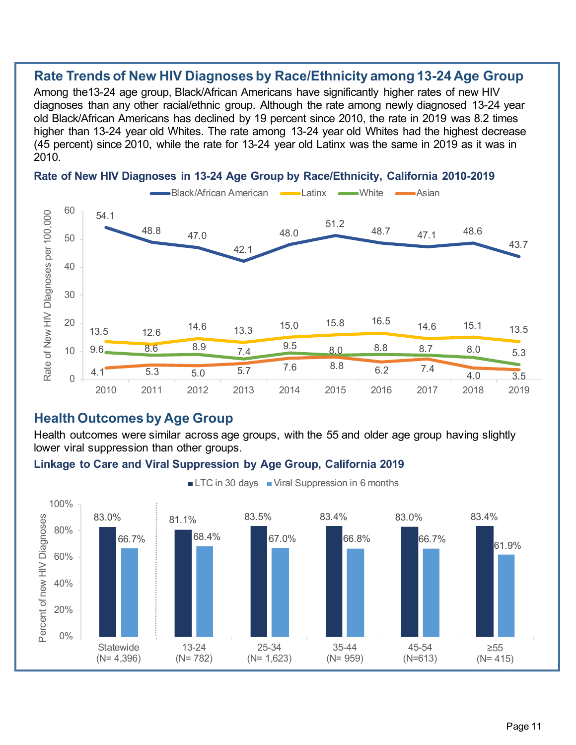#### **Rate Trends of New HIV Diagnoses by Race/Ethnicity among 13-24 Age Group**

Among the13-24 age group, Black/African Americans have significantly higher rates of new HIV diagnoses than any other racial/ethnic group. Although the rate among newly diagnosed 13-24 year old Black/African Americans has declined by 19 percent since 2010, the rate in 2019 was 8.2 times higher than 13-24 year old Whites. The rate among 13-24 year old Whites had the highest decrease (45 percent) since 2010, while the rate for 13-24 year old Latinx was the same in 2019 as it was in 2010.



#### **Rate of New HIV Diagnoses in 13-24 Age Group by Race/Ethnicity, California 2010-2019**

## **Health Outcomes by Age Group**

Health outcomes were similar across age groups, with the 55 and older age group having slightly lower viral suppression than other groups.

#### **Linkage to Care and Viral Suppression by Age Group, California 2019**



LTC in 30 days Viral Suppression in 6 months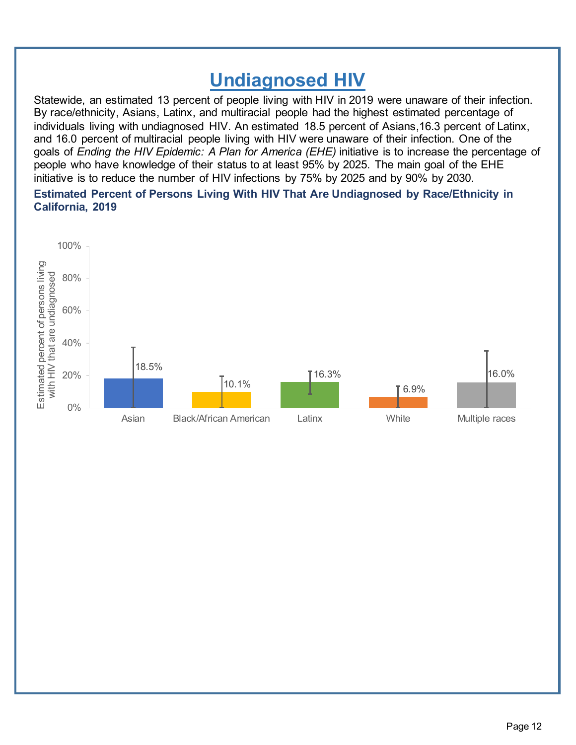# **Undiagnosed HIV**

Statewide, an estimated 13 percent of people living with HIV in 2019 were unaware of their infection. By race/ethnicity, Asians, Latinx, and multiracial people had the highest estimated percentage of individuals living with undiagnosed HIV. An estimated 18.5 percent of Asians,16.3 percent of Latinx, and 16.0 percent of multiracial people living with HIV were unaware of their infection. One of the goals of *Ending the HIV Epidemic: A Plan for America (EHE)* initiative is to increase the percentage of people who have knowledge of their status to at least 95% by 2025. The main goal of the EHE initiative is to reduce the number of HIV infections by 75% by 2025 and by 90% by 2030.

#### **Estimated Percent of Persons Living With HIV That Are Undiagnosed by Race/Ethnicity in California, 2019**

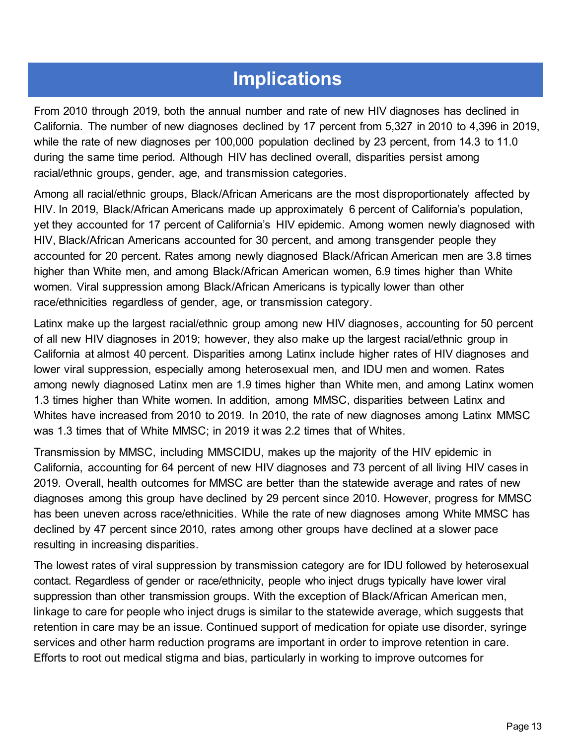# **Implications**

From 2010 through 2019, both the annual number and rate of new HIV diagnoses has declined in California. The number of new diagnoses declined by 17 percent from 5,327 in 2010 to 4,396 in 2019, while the rate of new diagnoses per 100,000 population declined by 23 percent, from 14.3 to 11.0 during the same time period. Although HIV has declined overall, disparities persist among racial/ethnic groups, gender, age, and transmission categories.

Among all racial/ethnic groups, Black/African Americans are the most disproportionately affected by HIV. In 2019, Black/African Americans made up approximately 6 percent of California's population, yet they accounted for 17 percent of California's HIV epidemic. Among women newly diagnosed with HIV, Black/African Americans accounted for 30 percent, and among transgender people they accounted for 20 percent. Rates among newly diagnosed Black/African American men are 3.8 times higher than White men, and among Black/African American women, 6.9 times higher than White women. Viral suppression among Black/African Americans is typically lower than other race/ethnicities regardless of gender, age, or transmission category.

Latinx make up the largest racial/ethnic group among new HIV diagnoses, accounting for 50 percent of all new HIV diagnoses in 2019; however, they also make up the largest racial/ethnic group in California at almost 40 percent. Disparities among Latinx include higher rates of HIV diagnoses and lower viral suppression, especially among heterosexual men, and IDU men and women. Rates among newly diagnosed Latinx men are 1.9 times higher than White men, and among Latinx women 1.3 times higher than White women. In addition, among MMSC, disparities between Latinx and Whites have increased from 2010 to 2019. In 2010, the rate of new diagnoses among Latinx MMSC was 1.3 times that of White MMSC; in 2019 it was 2.2 times that of Whites.

Transmission by MMSC, including MMSCIDU, makes up the majority of the HIV epidemic in California, accounting for 64 percent of new HIV diagnoses and 73 percent of all living HIV cases in 2019. Overall, health outcomes for MMSC are better than the statewide average and rates of new diagnoses among this group have declined by 29 percent since 2010. However, progress for MMSC has been uneven across race/ethnicities. While the rate of new diagnoses among White MMSC has declined by 47 percent since 2010, rates among other groups have declined at a slower pace resulting in increasing disparities.

The lowest rates of viral suppression by transmission category are for IDU followed by heterosexual contact. Regardless of gender or race/ethnicity, people who inject drugs typically have lower viral suppression than other transmission groups. With the exception of Black/African American men, linkage to care for people who inject drugs is similar to the statewide average, which suggests that retention in care may be an issue. Continued support of medication for opiate use disorder, syringe services and other harm reduction programs are important in order to improve retention in care. Efforts to root out medical stigma and bias, particularly in working to improve outcomes for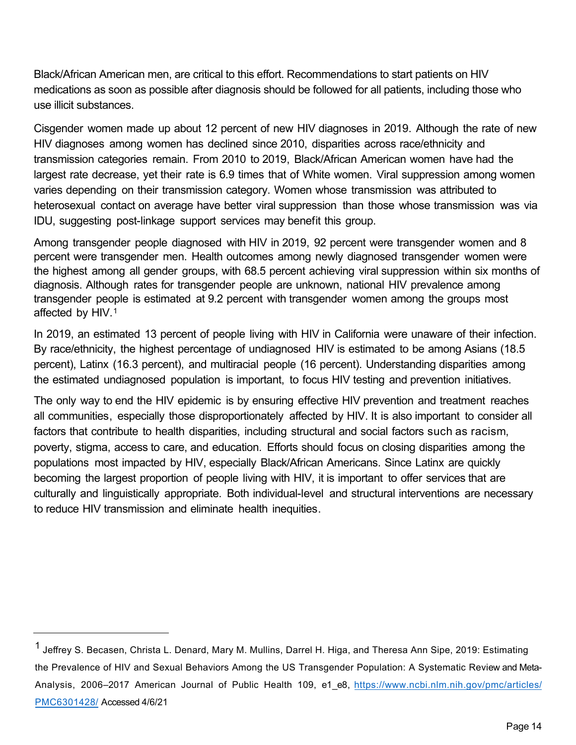Black/African American men, are critical to this effort. Recommendations to start patients on HIV medications as soon as possible after diagnosis should be followed for all patients, including those who use illicit substances.

Cisgender women made up about 12 percent of new HIV diagnoses in 2019. Although the rate of new HIV diagnoses among women has declined since 2010, disparities across race/ethnicity and transmission categories remain. From 2010 to 2019, Black/African American women have had the largest rate decrease, yet their rate is 6.9 times that of White women. Viral suppression among women varies depending on their transmission category. Women whose transmission was attributed to heterosexual contact on average have better viral suppression than those whose transmission was via IDU, suggesting post-linkage support services may benefit this group.

<span id="page-13-0"></span>Among transgender people diagnosed with HIV in 2019, 92 percent were transgender women and 8 percent were transgender men. Health outcomes among newly diagnosed transgender women were the highest among all gender groups, with 68.5 percent achieving viral suppression within six months of diagnosis. Although rates for transgender people are unknown, national HIV prevalence among transgender people is estimated at 9.2 percent with transgender women among the groups most affected by HIV. [1](#page-13-1)

In 2019, an estimated 13 percent of people living with HIV in California were unaware of their infection. By race/ethnicity, the highest percentage of undiagnosed HIV is estimated to be among Asians (18.5 percent), Latinx (16.3 percent), and multiracial people (16 percent). Understanding disparities among the estimated undiagnosed population is important, to focus HIV testing and prevention initiatives.

The only way to end the HIV epidemic is by ensuring effective HIV prevention and treatment reaches all communities, especially those disproportionately affected by HIV. It is also important to consider all factors that contribute to health disparities, including structural and social factors such as racism, poverty, stigma, access to care, and education. Efforts should focus on closing disparities among the populations most impacted by HIV, especially Black/African Americans. Since Latinx are quickly becoming the largest proportion of people living with HIV, it is important to offer services that are culturally and linguistically appropriate. Both individual-level and structural interventions are necessary to reduce HIV transmission and eliminate health inequities.

<span id="page-13-1"></span><sup>1</sup> Jeffrey S. Becasen, Christa L. Denard, Mary M. Mullins, Darrel H. Higa, and Theresa Ann Sipe, 2019: Estimating the Prevalence of HIV and Sexual Behaviors Among the US Transgender Population: A Systematic Review and Meta-Analysis, 2006–2017 American Journal of Public Health 109, e1 e8, https://www.ncbi.nlm.nih.gov/pmc/articles/ PMC6301428/ Accessed 4/6/21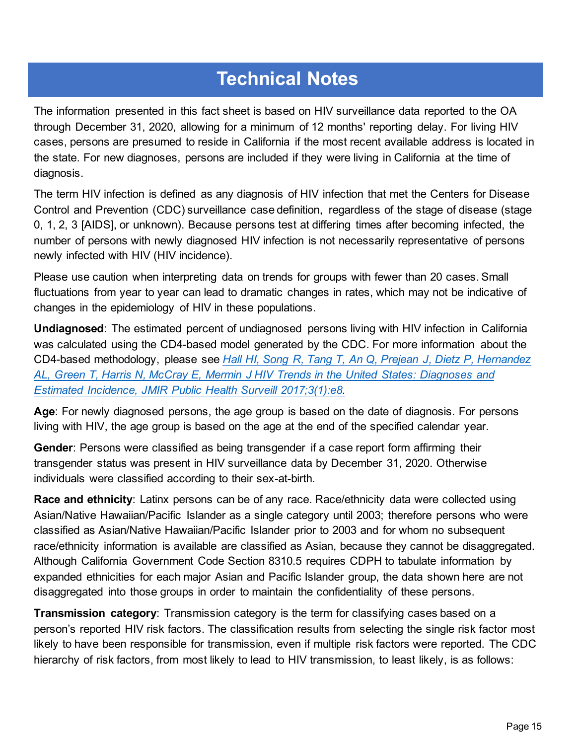# **Technical Notes**

The information presented in this fact sheet is based on HIV surveillance data reported to the OA through December 31, 2020, allowing for a minimum of 12 months' reporting delay. For living HIV cases, persons are presumed to reside in California if the most recent available address is located in the state. For new diagnoses, persons are included if they were living in California at the time of diagnosis.

The term HIV infection is defined as any diagnosis of HIV infection that met the Centers for Disease Control and Prevention (CDC) surveillance case definition, regardless of the stage of disease (stage 0, 1, 2, 3 [AIDS], or unknown). Because persons test at differing times after becoming infected, the number of persons with newly diagnosed HIV infection is not necessarily representative of persons newly infected with HIV (HIV incidence).

Please use caution when interpreting data on trends for groups with fewer than 20 cases. Small fluctuations from year to year can lead to dramatic changes in rates, which may not be indicative of changes in the epidemiology of HIV in these populations.

**Undiagnosed**: The estimated percent of undiagnosed persons living with HIV infection in California was calculated using the CD4-based model generated by the CDC. For more information about the CD4-based methodology, please see *[Hall HI, Song R, Tang T, An Q, Prejean J, Dietz P, Hernandez](https://publichealth.jmir.org/2017/1/e8/)  [AL, Green T, Harris N, McCray E, Mermin J HIV Trends in the United States: Diagnoses](https://publichealth.jmir.org/2017/1/e8/) and [Estimated Incidence, JMIR Public Health Surveill 2017;3\(1\):e8.](https://publichealth.jmir.org/2017/1/e8/)*

**Age**: For newly diagnosed persons, the age group is based on the date of diagnosis. For persons living with HIV, the age group is based on the age at the end of the specified calendar year.

**Gender**: Persons were classified as being transgender if a case report form affirming their transgender status was present in HIV surveillance data by December 31, 2020. Otherwise individuals were classified according to their sex-at-birth.

**Race and ethnicity**: Latinx persons can be of any race. Race/ethnicity data were collected using Asian/Native Hawaiian/Pacific Islander as a single category until 2003; therefore persons who were classified as Asian/Native Hawaiian/Pacific Islander prior to 2003 and for whom no subsequent race/ethnicity information is available are classified as Asian, because they cannot be disaggregated. Although California Government Code Section 8310.5 requires CDPH to tabulate information by expanded ethnicities for each major Asian and Pacific Islander group, the data shown here are not disaggregated into those groups in order to maintain the confidentiality of these persons.

**Transmission category**: Transmission category is the term for classifying cases based on a person's reported HIV risk factors. The classification results from selecting the single risk factor most likely to have been responsible for transmission, even if multiple risk factors were reported. The CDC hierarchy of risk factors, from most likely to lead to HIV transmission, to least likely, is as follows: